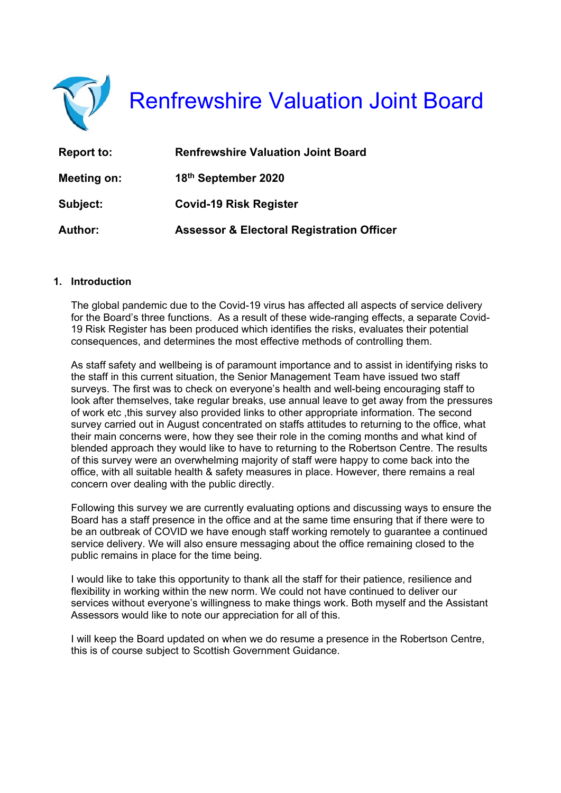

Renfrewshire Valuation Joint Board

| <b>Report to:</b> | <b>Renfrewshire Valuation Joint Board</b>            |
|-------------------|------------------------------------------------------|
| Meeting on:       | 18th September 2020                                  |
| Subject:          | <b>Covid-19 Risk Register</b>                        |
| <b>Author:</b>    | <b>Assessor &amp; Electoral Registration Officer</b> |

### **1. Introduction**

The global pandemic due to the Covid-19 virus has affected all aspects of service delivery for the Board's three functions. As a result of these wide-ranging effects, a separate Covid-19 Risk Register has been produced which identifies the risks, evaluates their potential consequences, and determines the most effective methods of controlling them.

As staff safety and wellbeing is of paramount importance and to assist in identifying risks to the staff in this current situation, the Senior Management Team have issued two staff surveys. The first was to check on everyone's health and well-being encouraging staff to look after themselves, take regular breaks, use annual leave to get away from the pressures of work etc ,this survey also provided links to other appropriate information. The second survey carried out in August concentrated on staffs attitudes to returning to the office, what their main concerns were, how they see their role in the coming months and what kind of blended approach they would like to have to returning to the Robertson Centre. The results of this survey were an overwhelming majority of staff were happy to come back into the office, with all suitable health & safety measures in place. However, there remains a real concern over dealing with the public directly.

Following this survey we are currently evaluating options and discussing ways to ensure the Board has a staff presence in the office and at the same time ensuring that if there were to be an outbreak of COVID we have enough staff working remotely to guarantee a continued service delivery. We will also ensure messaging about the office remaining closed to the public remains in place for the time being.

I would like to take this opportunity to thank all the staff for their patience, resilience and flexibility in working within the new norm. We could not have continued to deliver our services without everyone's willingness to make things work. Both myself and the Assistant Assessors would like to note our appreciation for all of this.

I will keep the Board updated on when we do resume a presence in the Robertson Centre, this is of course subject to Scottish Government Guidance.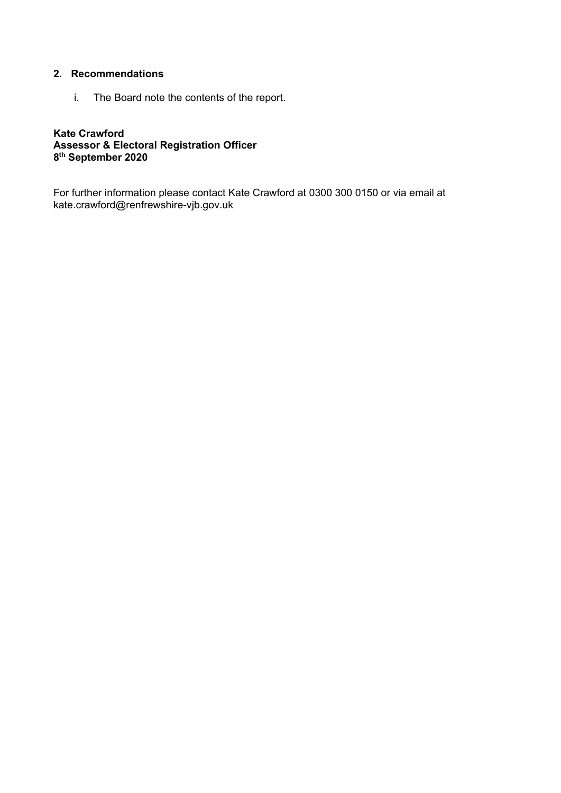# **2. Recommendations**

i. The Board note the contents of the report.

## **Kate Crawford Assessor & Electoral Registration Officer 8th September 2020**

For further information please contact Kate Crawford at 0300 300 0150 or via email at kate.crawford@renfrewshire-vjb.gov.uk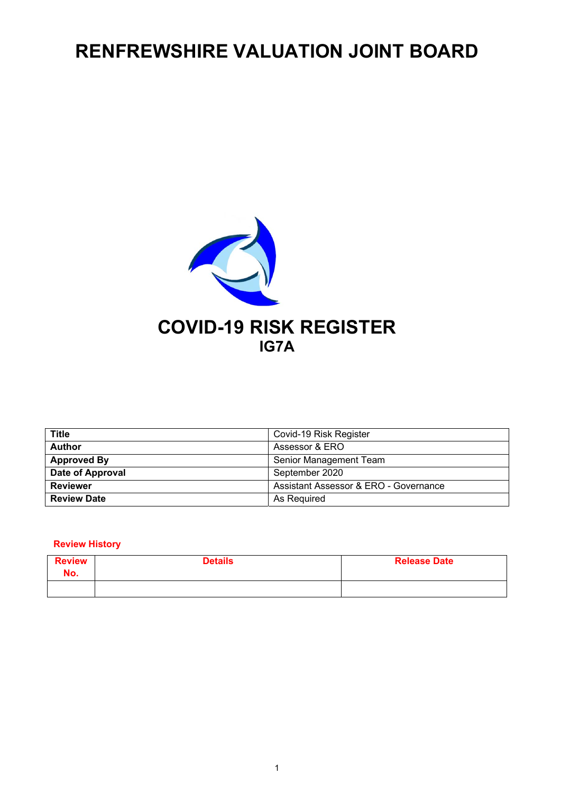# **RENFREWSHIRE VALUATION JOINT BOARD**



| <b>Title</b>       | Covid-19 Risk Register                |
|--------------------|---------------------------------------|
| <b>Author</b>      | Assessor & ERO                        |
| <b>Approved By</b> | Senior Management Team                |
| Date of Approval   | September 2020                        |
| <b>Reviewer</b>    | Assistant Assessor & ERO - Governance |
| <b>Review Date</b> | As Required                           |

### **Review History**

| <b>Review</b><br>No. | <b>Details</b> | <b>Release Date</b> |
|----------------------|----------------|---------------------|
|                      |                |                     |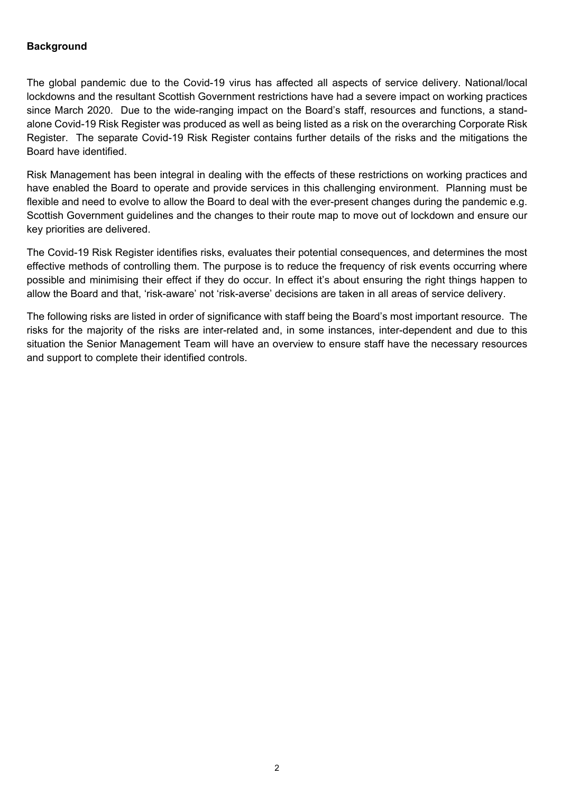# **Background**

The global pandemic due to the Covid-19 virus has affected all aspects of service delivery. National/local lockdowns and the resultant Scottish Government restrictions have had a severe impact on working practices since March 2020. Due to the wide-ranging impact on the Board's staff, resources and functions, a standalone Covid-19 Risk Register was produced as well as being listed as a risk on the overarching Corporate Risk Register. The separate Covid-19 Risk Register contains further details of the risks and the mitigations the Board have identified.

Risk Management has been integral in dealing with the effects of these restrictions on working practices and have enabled the Board to operate and provide services in this challenging environment. Planning must be flexible and need to evolve to allow the Board to deal with the ever-present changes during the pandemic e.g. Scottish Government guidelines and the changes to their route map to move out of lockdown and ensure our key priorities are delivered.

The Covid-19 Risk Register identifies risks, evaluates their potential consequences, and determines the most effective methods of controlling them. The purpose is to reduce the frequency of risk events occurring where possible and minimising their effect if they do occur. In effect it's about ensuring the right things happen to allow the Board and that, 'risk-aware' not 'risk-averse' decisions are taken in all areas of service delivery.

The following risks are listed in order of significance with staff being the Board's most important resource. The risks for the majority of the risks are inter-related and, in some instances, inter-dependent and due to this situation the Senior Management Team will have an overview to ensure staff have the necessary resources and support to complete their identified controls.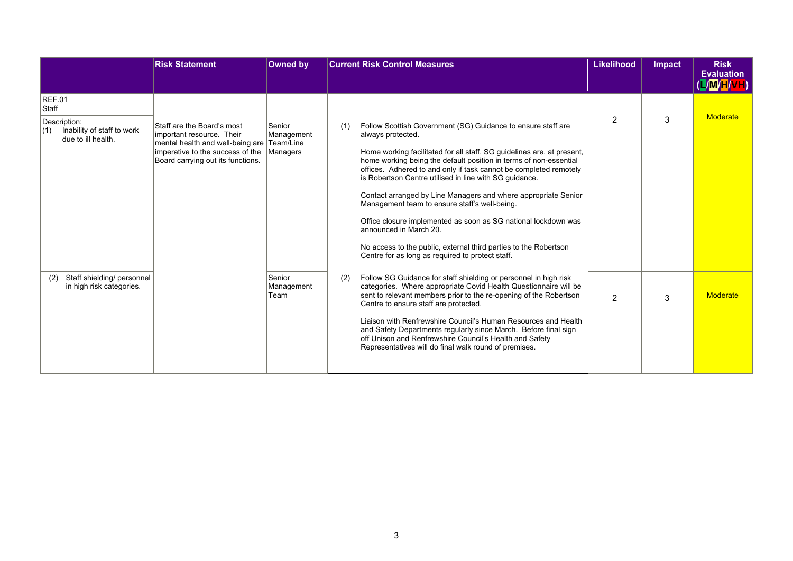|                                                                                                   | <b>Risk Statement</b>                                                                                                                                                                   | Owned by                     |     | <b>Current Risk Control Measures</b>                                                                                                                                                                                                                                                                                                                                                                                                                                                                                                                                                                                                                                                                   | Likelihood     | <b>Impact</b> | <b>Risk</b><br><b>Evaluation</b> |
|---------------------------------------------------------------------------------------------------|-----------------------------------------------------------------------------------------------------------------------------------------------------------------------------------------|------------------------------|-----|--------------------------------------------------------------------------------------------------------------------------------------------------------------------------------------------------------------------------------------------------------------------------------------------------------------------------------------------------------------------------------------------------------------------------------------------------------------------------------------------------------------------------------------------------------------------------------------------------------------------------------------------------------------------------------------------------------|----------------|---------------|----------------------------------|
|                                                                                                   |                                                                                                                                                                                         |                              |     |                                                                                                                                                                                                                                                                                                                                                                                                                                                                                                                                                                                                                                                                                                        |                |               | /M/H/VH                          |
| <b>REF.01</b><br>Staff<br>Description:<br>Inability of staff to work<br>(1)<br>due to ill health. | Staff are the Board's most<br>important resource. Their<br>mental health and well-being are Team/Line<br>imperative to the success of the Managers<br>Board carrying out its functions. | Senior<br>Management         | (1) | Follow Scottish Government (SG) Guidance to ensure staff are<br>always protected.<br>Home working facilitated for all staff. SG quidelines are, at present,<br>home working being the default position in terms of non-essential<br>offices. Adhered to and only if task cannot be completed remotely<br>is Robertson Centre utilised in line with SG quidance.<br>Contact arranged by Line Managers and where appropriate Senior<br>Management team to ensure staff's well-being.<br>Office closure implemented as soon as SG national lockdown was<br>announced in March 20.<br>No access to the public, external third parties to the Robertson<br>Centre for as long as required to protect staff. | 2              | 3             | Moderate                         |
| Staff shielding/ personnel<br>(2)<br>in high risk categories.                                     |                                                                                                                                                                                         | Senior<br>Management<br>Team | (2) | Follow SG Guidance for staff shielding or personnel in high risk<br>categories. Where appropriate Covid Health Questionnaire will be<br>sent to relevant members prior to the re-opening of the Robertson<br>Centre to ensure staff are protected.<br>Liaison with Renfrewshire Council's Human Resources and Health<br>and Safety Departments regularly since March. Before final sign<br>off Unison and Renfrewshire Council's Health and Safety<br>Representatives will do final walk round of premises.                                                                                                                                                                                            | $\overline{2}$ | 3             | Moderate                         |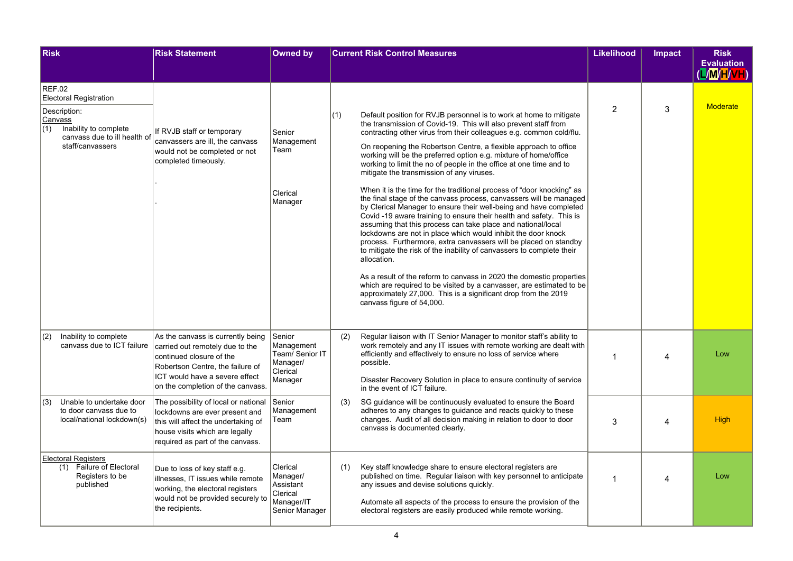| <b>Risk</b>                                                                                                                                                   | <b>Risk Statement</b>                                                                                                                                                                                       | <b>Owned by</b>                                                               |     | <b>Current Risk Control Measures</b>                                                                                                                                                                                                                                                                                                                                                                                                                                                                                                                                                                                                                                                                                                                                                                                                                                                                                                                                                                                                                                                                                                                                                                                                                                                                           | <b>Likelihood</b> | <b>Impact</b> | <b>Risk</b><br><b>Evaluation</b><br>(L/M/H/VH) |
|---------------------------------------------------------------------------------------------------------------------------------------------------------------|-------------------------------------------------------------------------------------------------------------------------------------------------------------------------------------------------------------|-------------------------------------------------------------------------------|-----|----------------------------------------------------------------------------------------------------------------------------------------------------------------------------------------------------------------------------------------------------------------------------------------------------------------------------------------------------------------------------------------------------------------------------------------------------------------------------------------------------------------------------------------------------------------------------------------------------------------------------------------------------------------------------------------------------------------------------------------------------------------------------------------------------------------------------------------------------------------------------------------------------------------------------------------------------------------------------------------------------------------------------------------------------------------------------------------------------------------------------------------------------------------------------------------------------------------------------------------------------------------------------------------------------------------|-------------------|---------------|------------------------------------------------|
| <b>REF.02</b><br><b>Electoral Registration</b><br>Description:<br>Canvass<br>(1)<br>Inability to complete<br>canvass due to ill health of<br>staff/canvassers | If RVJB staff or temporary<br>canvassers are ill, the canvass<br>would not be completed or not<br>completed timeously.                                                                                      | Senior<br>Management<br>Team<br>Clerical<br>Manager                           | (1) | Default position for RVJB personnel is to work at home to mitigate<br>the transmission of Covid-19. This will also prevent staff from<br>contracting other virus from their colleagues e.g. common cold/flu.<br>On reopening the Robertson Centre, a flexible approach to office<br>working will be the preferred option e.g. mixture of home/office<br>working to limit the no of people in the office at one time and to<br>mitigate the transmission of any viruses.<br>When it is the time for the traditional process of "door knocking" as<br>the final stage of the canvass process, canvassers will be managed<br>by Clerical Manager to ensure their well-being and have completed<br>Covid -19 aware training to ensure their health and safety. This is<br>assuming that this process can take place and national/local<br>lockdowns are not in place which would inhibit the door knock<br>process. Furthermore, extra canvassers will be placed on standby<br>to mitigate the risk of the inability of canvassers to complete their<br>allocation.<br>As a result of the reform to canvass in 2020 the domestic properties<br>which are required to be visited by a canvasser, are estimated to be<br>approximately 27,000. This is a significant drop from the 2019<br>canvass figure of 54,000. | 2                 | 3             | <b>Moderate</b>                                |
| (2)<br>Inability to complete<br>canvass due to ICT failure                                                                                                    | As the canvass is currently being<br>carried out remotely due to the<br>continued closure of the<br>Robertson Centre, the failure of<br>ICT would have a severe effect<br>on the completion of the canvass. | Senior<br>Management<br>Team/ Senior IT<br>Manager/<br>Clerical<br>Manager    | (2) | Regular liaison with IT Senior Manager to monitor staff's ability to<br>work remotely and any IT issues with remote working are dealt with<br>efficiently and effectively to ensure no loss of service where<br>possible.<br>Disaster Recovery Solution in place to ensure continuity of service<br>in the event of ICT failure.                                                                                                                                                                                                                                                                                                                                                                                                                                                                                                                                                                                                                                                                                                                                                                                                                                                                                                                                                                               | 1                 | Δ             | Low                                            |
| Unable to undertake door<br>(3)<br>to door canvass due to<br>local/national lockdown(s)                                                                       | The possibility of local or national<br>lockdowns are ever present and<br>this will affect the undertaking of<br>house visits which are legally<br>required as part of the canvass.                         | Senior<br>Management<br>Team                                                  | (3) | SG guidance will be continuously evaluated to ensure the Board<br>adheres to any changes to guidance and reacts quickly to these<br>changes. Audit of all decision making in relation to door to door<br>canvass is documented clearly.                                                                                                                                                                                                                                                                                                                                                                                                                                                                                                                                                                                                                                                                                                                                                                                                                                                                                                                                                                                                                                                                        | 3                 | Δ             | <b>High</b>                                    |
| <b>Electoral Registers</b><br><b>Failure of Electoral</b><br>(1)<br>Registers to be<br>published                                                              | Due to loss of key staff e.g.<br>illnesses. IT issues while remote<br>working, the electoral registers<br>would not be provided securely to<br>the recipients.                                              | Clerical<br>Manager/<br>Assistant<br>Clerical<br>Manager/IT<br>Senior Manager | (1) | Key staff knowledge share to ensure electoral registers are<br>published on time. Regular liaison with key personnel to anticipate<br>any issues and devise solutions quickly.<br>Automate all aspects of the process to ensure the provision of the<br>electoral registers are easily produced while remote working.                                                                                                                                                                                                                                                                                                                                                                                                                                                                                                                                                                                                                                                                                                                                                                                                                                                                                                                                                                                          | $\mathbf{1}$      | Λ             | Low                                            |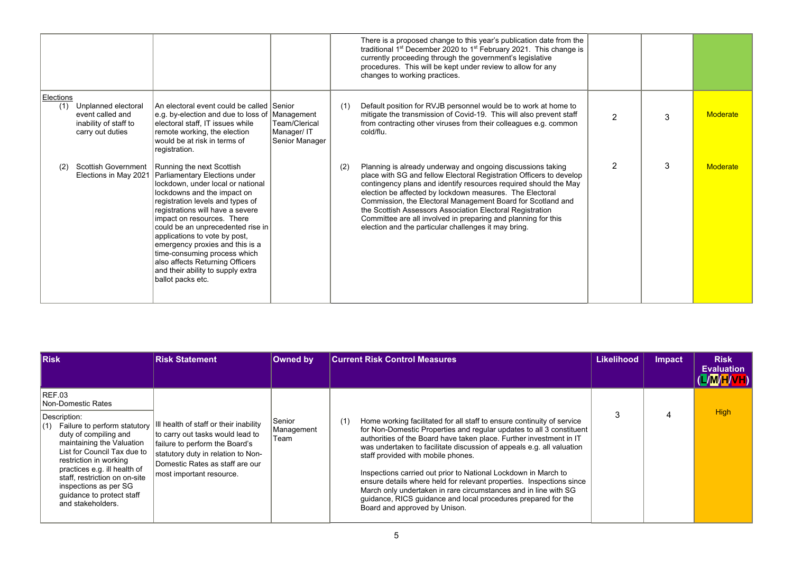|                  |                                                                                      |                                                                                                                                                                                                                                                                                                                                                                                                                                                                                                  |                                               |     | There is a proposed change to this year's publication date from the<br>traditional 1 <sup>st</sup> December 2020 to 1 <sup>st</sup> February 2021. This change is<br>currently proceeding through the government's legislative<br>procedures. This will be kept under review to allow for any<br>changes to working practices.                                                                                                                                                                                          |               |   |                 |
|------------------|--------------------------------------------------------------------------------------|--------------------------------------------------------------------------------------------------------------------------------------------------------------------------------------------------------------------------------------------------------------------------------------------------------------------------------------------------------------------------------------------------------------------------------------------------------------------------------------------------|-----------------------------------------------|-----|-------------------------------------------------------------------------------------------------------------------------------------------------------------------------------------------------------------------------------------------------------------------------------------------------------------------------------------------------------------------------------------------------------------------------------------------------------------------------------------------------------------------------|---------------|---|-----------------|
| Elections<br>(1) | Unplanned electoral<br>event called and<br>inability of staff to<br>carry out duties | An electoral event could be called Senior<br>e.g. by-election and due to loss of Management<br>electoral staff, IT issues while<br>remote working, the election<br>would be at risk in terms of<br>registration.                                                                                                                                                                                                                                                                                 | Team/Clerical<br>Manager/IT<br>Senior Manager | (1) | Default position for RVJB personnel would be to work at home to<br>mitigate the transmission of Covid-19. This will also prevent staff<br>from contracting other viruses from their colleagues e.g. common<br>cold/flu.                                                                                                                                                                                                                                                                                                 | $\mathcal{P}$ | 3 | <b>Moderate</b> |
| (2)              | Elections in May 2021                                                                | Scottish Government   Running the next Scottish<br>Parliamentary Elections under<br>lockdown, under local or national<br>lockdowns and the impact on<br>registration levels and types of<br>registrations will have a severe<br>impact on resources. There<br>could be an unprecedented rise in<br>applications to vote by post,<br>emergency proxies and this is a<br>time-consuming process which<br>also affects Returning Officers<br>and their ability to supply extra<br>ballot packs etc. |                                               | (2) | Planning is already underway and ongoing discussions taking<br>place with SG and fellow Electoral Registration Officers to develop<br>contingency plans and identify resources required should the May<br>election be affected by lockdown measures. The Electoral<br>Commission, the Electoral Management Board for Scotland and<br>the Scottish Assessors Association Electoral Registration<br>Committee are all involved in preparing and planning for this<br>election and the particular challenges it may bring. | $\mathcal{P}$ | 3 | <b>Moderate</b> |

| <b>Risk</b>                                                                                                                                                                                                                                                                                                                                    | <b>Risk Statement</b>                                                                                                                                                                                            | Owned by                     | <b>Current Risk Control Measures</b>                                                                                                                                                                                                                                                                                                                                                                                                                                                                                                                                                                                                                       | <b>Likelihood</b> | Impact | <b>Risk</b><br><b>Evaluation</b><br>(L/M/H/VH) |
|------------------------------------------------------------------------------------------------------------------------------------------------------------------------------------------------------------------------------------------------------------------------------------------------------------------------------------------------|------------------------------------------------------------------------------------------------------------------------------------------------------------------------------------------------------------------|------------------------------|------------------------------------------------------------------------------------------------------------------------------------------------------------------------------------------------------------------------------------------------------------------------------------------------------------------------------------------------------------------------------------------------------------------------------------------------------------------------------------------------------------------------------------------------------------------------------------------------------------------------------------------------------------|-------------------|--------|------------------------------------------------|
| REF.03<br>Non-Domestic Rates<br>Description:<br>Failure to perform statutory<br>(1)<br>duty of compiling and<br>maintaining the Valuation<br>List for Council Tax due to<br>restriction in working<br>practices e.g. ill health of<br>staff, restriction on on-site<br>inspections as per SG<br>guidance to protect staff<br>and stakeholders. | Il health of staff or their inability<br>to carry out tasks would lead to<br>failure to perform the Board's<br>statutory duty in relation to Non-<br>Domestic Rates as staff are our<br>most important resource. | Senior<br>Management<br>Team | Home working facilitated for all staff to ensure continuity of service<br>(1)<br>for Non-Domestic Properties and regular updates to all 3 constituent<br>authorities of the Board have taken place. Further investment in IT<br>was undertaken to facilitate discussion of appeals e.g. all valuation<br>staff provided with mobile phones.<br>Inspections carried out prior to National Lockdown in March to<br>ensure details where held for relevant properties. Inspections since<br>March only undertaken in rare circumstances and in line with SG<br>quidance, RICS quidance and local procedures prepared for the<br>Board and approved by Unison. | 3                 |        | <b>High</b>                                    |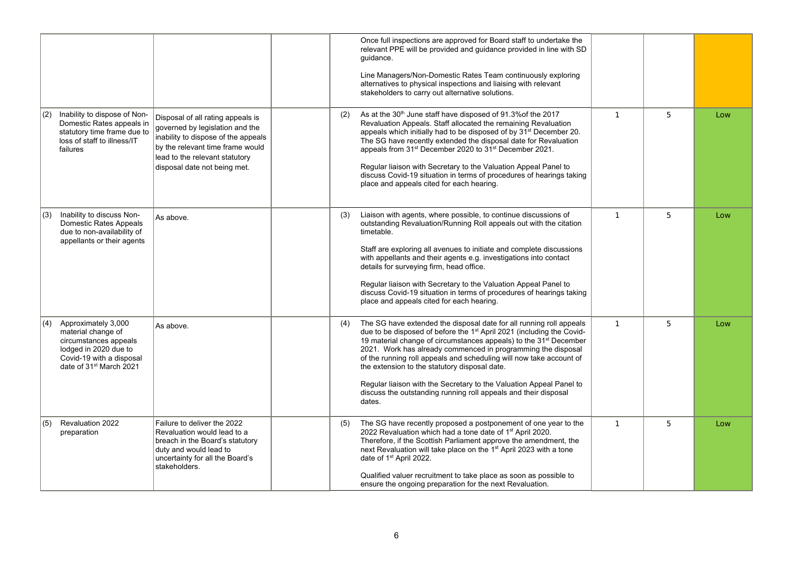|                                                                                                                                                                        |                                                                                                                                                                                                                   |     | Once full inspections are approved for Board staff to undertake the<br>relevant PPE will be provided and guidance provided in line with SD<br>quidance.<br>Line Managers/Non-Domestic Rates Team continuously exploring<br>alternatives to physical inspections and liaising with relevant<br>stakeholders to carry out alternative solutions.                                                                                                                                                                                                                                        |              |   |     |
|------------------------------------------------------------------------------------------------------------------------------------------------------------------------|-------------------------------------------------------------------------------------------------------------------------------------------------------------------------------------------------------------------|-----|---------------------------------------------------------------------------------------------------------------------------------------------------------------------------------------------------------------------------------------------------------------------------------------------------------------------------------------------------------------------------------------------------------------------------------------------------------------------------------------------------------------------------------------------------------------------------------------|--------------|---|-----|
| Inability to dispose of Non-<br>(2)<br>Domestic Rates appeals in<br>statutory time frame due to<br>loss of staff to illness/IT<br>failures                             | Disposal of all rating appeals is<br>governed by legislation and the<br>inability to dispose of the appeals<br>by the relevant time frame would<br>lead to the relevant statutory<br>disposal date not being met. | (2) | As at the 30 <sup>th</sup> June staff have disposed of 91.3% of the 2017<br>Revaluation Appeals. Staff allocated the remaining Revaluation<br>appeals which initially had to be disposed of by 31 <sup>st</sup> December 20.<br>The SG have recently extended the disposal date for Revaluation<br>appeals from 31 <sup>st</sup> December 2020 to 31 <sup>st</sup> December 2021.<br>Regular liaison with Secretary to the Valuation Appeal Panel to<br>discuss Covid-19 situation in terms of procedures of hearings taking<br>place and appeals cited for each hearing.             | $\mathbf{1}$ | 5 | Low |
| Inability to discuss Non-<br>(3)<br>Domestic Rates Appeals<br>due to non-availability of<br>appellants or their agents                                                 | As above.                                                                                                                                                                                                         | (3) | Liaison with agents, where possible, to continue discussions of<br>outstanding Revaluation/Running Roll appeals out with the citation<br>timetable.<br>Staff are exploring all avenues to initiate and complete discussions<br>with appellants and their agents e.g. investigations into contact<br>details for surveying firm, head office.<br>Regular liaison with Secretary to the Valuation Appeal Panel to<br>discuss Covid-19 situation in terms of procedures of hearings taking<br>place and appeals cited for each hearing.                                                  | $\mathbf{1}$ | 5 | Low |
| Approximately 3,000<br> (4)<br>material change of<br>circumstances appeals<br>lodged in 2020 due to<br>Covid-19 with a disposal<br>date of 31 <sup>st</sup> March 2021 | As above.                                                                                                                                                                                                         | (4) | The SG have extended the disposal date for all running roll appeals<br>due to be disposed of before the 1 <sup>st</sup> April 2021 (including the Covid-<br>19 material change of circumstances appeals) to the 31 <sup>st</sup> December<br>2021. Work has already commenced in programming the disposal<br>of the running roll appeals and scheduling will now take account of<br>the extension to the statutory disposal date.<br>Regular liaison with the Secretary to the Valuation Appeal Panel to<br>discuss the outstanding running roll appeals and their disposal<br>dates. | $\mathbf{1}$ | 5 | Low |
| Revaluation 2022<br>(5)<br>preparation                                                                                                                                 | Failure to deliver the 2022<br>Revaluation would lead to a<br>breach in the Board's statutory<br>duty and would lead to<br>uncertainty for all the Board's<br>stakeholders.                                       | (5) | The SG have recently proposed a postponement of one year to the<br>2022 Revaluation which had a tone date of 1 <sup>st</sup> April 2020.<br>Therefore, if the Scottish Parliament approve the amendment, the<br>next Revaluation will take place on the 1 <sup>st</sup> April 2023 with a tone<br>date of 1 <sup>st</sup> April 2022.<br>Qualified valuer recruitment to take place as soon as possible to<br>ensure the ongoing preparation for the next Revaluation.                                                                                                                | $\mathbf{1}$ | 5 | Low |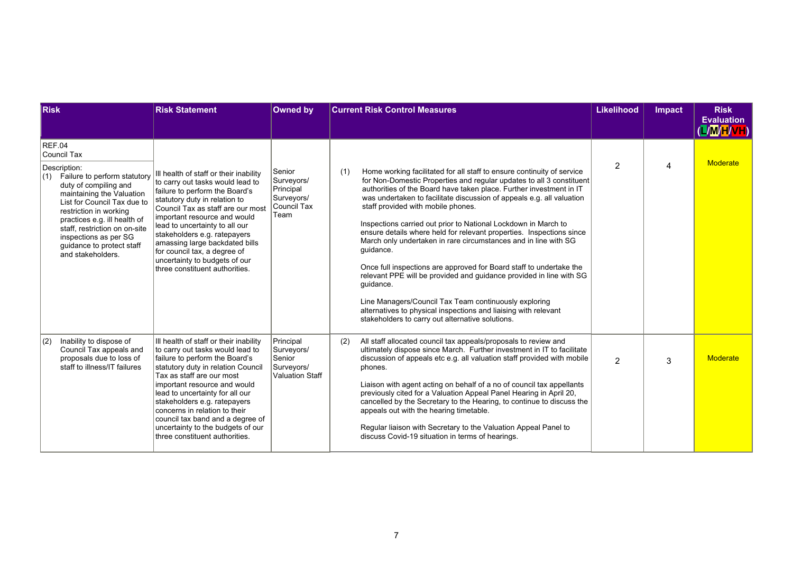| <b>Risk</b>                                                                                                                                                                                                                                                                                                                                 | <b>Risk Statement</b>                                                                                                                                                                                                                                                                                                                                                                                                          | <b>Owned by</b>                                                        | <b>Current Risk Control Measures</b>                                                                                                                                                                                                                                                                                                                                                                                                                                                                                                                                                                                                                                                                                                                                                                                                                                                                             | <b>Likelihood</b> | Impact | <b>Risk</b><br><b>Evaluation</b><br>(L/M/H/VH) |
|---------------------------------------------------------------------------------------------------------------------------------------------------------------------------------------------------------------------------------------------------------------------------------------------------------------------------------------------|--------------------------------------------------------------------------------------------------------------------------------------------------------------------------------------------------------------------------------------------------------------------------------------------------------------------------------------------------------------------------------------------------------------------------------|------------------------------------------------------------------------|------------------------------------------------------------------------------------------------------------------------------------------------------------------------------------------------------------------------------------------------------------------------------------------------------------------------------------------------------------------------------------------------------------------------------------------------------------------------------------------------------------------------------------------------------------------------------------------------------------------------------------------------------------------------------------------------------------------------------------------------------------------------------------------------------------------------------------------------------------------------------------------------------------------|-------------------|--------|------------------------------------------------|
| REF.04<br><b>Council Tax</b><br>Description:<br>(1) Failure to perform statutory<br>duty of compiling and<br>maintaining the Valuation<br>List for Council Tax due to<br>restriction in working<br>practices e.g. ill health of<br>staff, restriction on on-site<br>inspections as per SG<br>quidance to protect staff<br>and stakeholders. | Ill health of staff or their inability<br>to carry out tasks would lead to<br>failure to perform the Board's<br>statutory duty in relation to<br>Council Tax as staff are our most<br>important resource and would<br>lead to uncertainty to all our<br>stakeholders e.g. ratepayers<br>amassing large backdated bills<br>for council tax, a degree of<br>uncertainty to budgets of our<br>three constituent authorities.      | Senior<br>Surveyors/<br>Principal<br>Surveyors/<br>Council Tax<br>Team | Home working facilitated for all staff to ensure continuity of service<br>(1)<br>for Non-Domestic Properties and regular updates to all 3 constituent<br>authorities of the Board have taken place. Further investment in IT<br>was undertaken to facilitate discussion of appeals e.g. all valuation<br>staff provided with mobile phones.<br>Inspections carried out prior to National Lockdown in March to<br>ensure details where held for relevant properties. Inspections since<br>March only undertaken in rare circumstances and in line with SG<br>guidance.<br>Once full inspections are approved for Board staff to undertake the<br>relevant PPE will be provided and quidance provided in line with SG<br>guidance.<br>Line Managers/Council Tax Team continuously exploring<br>alternatives to physical inspections and liaising with relevant<br>stakeholders to carry out alternative solutions. | $\overline{2}$    | 4      | <b>Moderate</b>                                |
| Inability to dispose of<br> (2)<br>Council Tax appeals and<br>proposals due to loss of<br>staff to illness/IT failures                                                                                                                                                                                                                      | III health of staff or their inability<br>to carry out tasks would lead to<br>failure to perform the Board's<br>statutory duty in relation Council<br>Tax as staff are our most<br>important resource and would<br>lead to uncertainty for all our<br>stakeholders e.g. ratepayers<br>concerns in relation to their<br>council tax band and a degree of<br>uncertainty to the budgets of our<br>three constituent authorities. | Principal<br>Surveyors/<br>Senior<br>Surveyors/<br>Valuation Staff     | All staff allocated council tax appeals/proposals to review and<br>(2)<br>ultimately dispose since March. Further investment in IT to facilitate<br>discussion of appeals etc e.g. all valuation staff provided with mobile<br>phones.<br>Liaison with agent acting on behalf of a no of council tax appellants<br>previously cited for a Valuation Appeal Panel Hearing in April 20,<br>cancelled by the Secretary to the Hearing, to continue to discuss the<br>appeals out with the hearing timetable.<br>Regular liaison with Secretary to the Valuation Appeal Panel to<br>discuss Covid-19 situation in terms of hearings.                                                                                                                                                                                                                                                                                 | 2                 | 3      | Moderate                                       |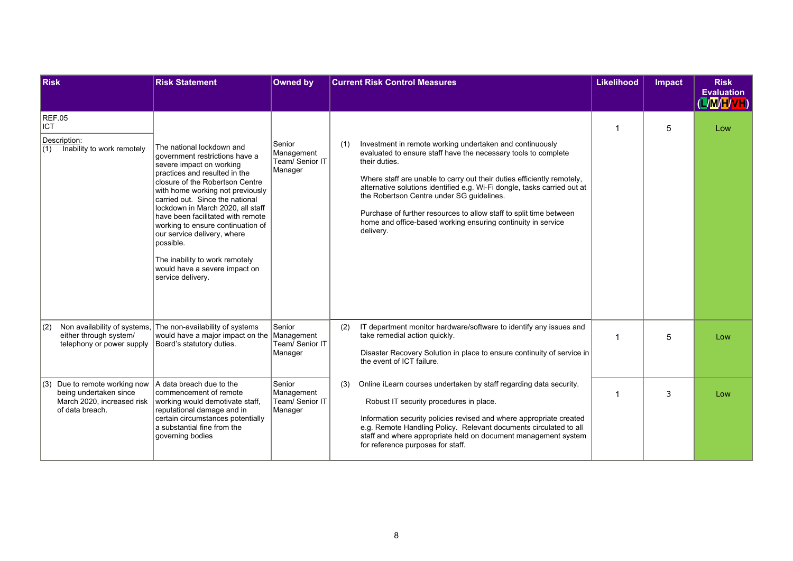| <b>Risk</b>                                                                                                                | <b>Risk Statement</b>                                                                                                                                                                                                                                                                                                                                                                                                                                                    | <b>Owned by</b>                                    |     | <b>Current Risk Control Measures</b>                                                                                                                                                                                                                                                                                                                                                                                                                                                              | <b>Likelihood</b> | <b>Impact</b> | <b>Risk</b><br><b>Evaluation</b><br>(L/M/H/VH) |
|----------------------------------------------------------------------------------------------------------------------------|--------------------------------------------------------------------------------------------------------------------------------------------------------------------------------------------------------------------------------------------------------------------------------------------------------------------------------------------------------------------------------------------------------------------------------------------------------------------------|----------------------------------------------------|-----|---------------------------------------------------------------------------------------------------------------------------------------------------------------------------------------------------------------------------------------------------------------------------------------------------------------------------------------------------------------------------------------------------------------------------------------------------------------------------------------------------|-------------------|---------------|------------------------------------------------|
| <b>REF.05</b><br><b>ICT</b><br>Description:<br>(1)<br>Inability to work remotely<br>possible.                              | The national lockdown and<br>government restrictions have a<br>severe impact on working<br>practices and resulted in the<br>closure of the Robertson Centre<br>with home working not previously<br>carried out. Since the national<br>lockdown in March 2020, all staff<br>have been facilitated with remote<br>working to ensure continuation of<br>our service delivery, where<br>The inability to work remotely<br>would have a severe impact on<br>service delivery. | Senior<br>Management<br>Team/ Senior IT<br>Manager | (1) | Investment in remote working undertaken and continuously<br>evaluated to ensure staff have the necessary tools to complete<br>their duties.<br>Where staff are unable to carry out their duties efficiently remotely,<br>alternative solutions identified e.g. Wi-Fi dongle, tasks carried out at<br>the Robertson Centre under SG guidelines.<br>Purchase of further resources to allow staff to split time between<br>home and office-based working ensuring continuity in service<br>delivery. |                   | 5             | Low                                            |
| Non availability of systems, The non-availability of systems<br>(2)<br>either through system/<br>telephony or power supply | would have a major impact on the<br>Board's statutory duties.                                                                                                                                                                                                                                                                                                                                                                                                            | Senior<br>Management<br>Team/ Senior IT<br>Manager | (2) | IT department monitor hardware/software to identify any issues and<br>take remedial action quickly.<br>Disaster Recovery Solution in place to ensure continuity of service in<br>the event of ICT failure.                                                                                                                                                                                                                                                                                        |                   | 5             | Low                                            |
| Due to remote working now<br> (3)<br>being undertaken since<br>March 2020, increased risk<br>of data breach.               | A data breach due to the<br>commencement of remote<br>working would demotivate staff,<br>reputational damage and in<br>certain circumstances potentially<br>a substantial fine from the<br>governing bodies                                                                                                                                                                                                                                                              | Senior<br>Management<br>Team/ Senior IT<br>Manager | (3) | Online iLearn courses undertaken by staff regarding data security.<br>Robust IT security procedures in place.<br>Information security policies revised and where appropriate created<br>e.g. Remote Handling Policy. Relevant documents circulated to all<br>staff and where appropriate held on document management system<br>for reference purposes for staff.                                                                                                                                  |                   | 3             | Low                                            |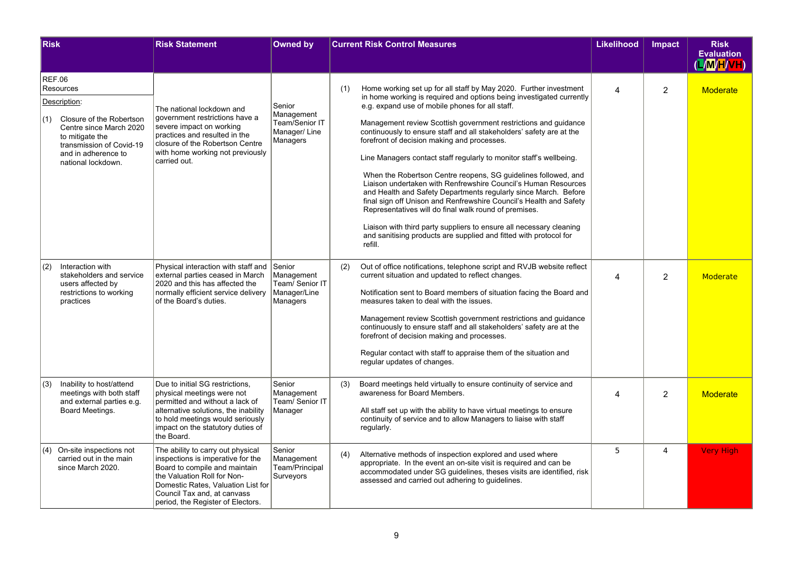| <b>Risk</b> |                                                                                                                                                                                                   | <b>Risk Statement</b>                                                                                                                                                                                                                            | <b>Owned by</b>                                                     |     | <b>Current Risk Control Measures</b>                                                                                                                                                                                                                                                                                                                                                                                                                                                                                                                                                                                                                                                                                                                                                                                                                                                                                                                       | <b>Likelihood</b> | <b>Impact</b>  | <b>Risk</b><br><b>Evaluation</b> |
|-------------|---------------------------------------------------------------------------------------------------------------------------------------------------------------------------------------------------|--------------------------------------------------------------------------------------------------------------------------------------------------------------------------------------------------------------------------------------------------|---------------------------------------------------------------------|-----|------------------------------------------------------------------------------------------------------------------------------------------------------------------------------------------------------------------------------------------------------------------------------------------------------------------------------------------------------------------------------------------------------------------------------------------------------------------------------------------------------------------------------------------------------------------------------------------------------------------------------------------------------------------------------------------------------------------------------------------------------------------------------------------------------------------------------------------------------------------------------------------------------------------------------------------------------------|-------------------|----------------|----------------------------------|
|             |                                                                                                                                                                                                   |                                                                                                                                                                                                                                                  |                                                                     |     |                                                                                                                                                                                                                                                                                                                                                                                                                                                                                                                                                                                                                                                                                                                                                                                                                                                                                                                                                            |                   |                | (L/M/H/VH)                       |
|             | <b>REF.06</b><br>Resources<br>Description:<br>(1) Closure of the Robertson<br>Centre since March 2020<br>to mitigate the<br>transmission of Covid-19<br>and in adherence to<br>national lockdown. | The national lockdown and<br>government restrictions have a<br>severe impact on working<br>practices and resulted in the<br>closure of the Robertson Centre<br>with home working not previously<br>carried out.                                  | Senior<br>Management<br>Team/Senior IT<br>Manager/Line<br>Managers  | (1) | Home working set up for all staff by May 2020. Further investment<br>in home working is required and options being investigated currently<br>e.g. expand use of mobile phones for all staff.<br>Management review Scottish government restrictions and guidance<br>continuously to ensure staff and all stakeholders' safety are at the<br>forefront of decision making and processes.<br>Line Managers contact staff regularly to monitor staff's wellbeing.<br>When the Robertson Centre reopens, SG quidelines followed, and<br>Liaison undertaken with Renfrewshire Council's Human Resources<br>and Health and Safety Departments regularly since March. Before<br>final sign off Unison and Renfrewshire Council's Health and Safety<br>Representatives will do final walk round of premises.<br>Liaison with third party suppliers to ensure all necessary cleaning<br>and sanitising products are supplied and fitted with protocol for<br>refill. | $\overline{4}$    | $\overline{2}$ | <b>Moderate</b>                  |
| (2)         | Interaction with<br>stakeholders and service<br>users affected by<br>restrictions to working<br>practices                                                                                         | Physical interaction with staff and<br>external parties ceased in March<br>2020 and this has affected the<br>normally efficient service delivery<br>of the Board's duties.                                                                       | Senior<br>Management<br>Team/ Senior IT<br>Manager/Line<br>Managers | (2) | Out of office notifications, telephone script and RVJB website reflect<br>current situation and updated to reflect changes.<br>Notification sent to Board members of situation facing the Board and<br>measures taken to deal with the issues.<br>Management review Scottish government restrictions and guidance<br>continuously to ensure staff and all stakeholders' safety are at the<br>forefront of decision making and processes.<br>Regular contact with staff to appraise them of the situation and<br>regular updates of changes.                                                                                                                                                                                                                                                                                                                                                                                                                | $\overline{4}$    | $\overline{2}$ | Moderate                         |
| (3)         | Inability to host/attend<br>meetings with both staff<br>and external parties e.g.<br>Board Meetings.                                                                                              | Due to initial SG restrictions,<br>physical meetings were not<br>permitted and without a lack of<br>alternative solutions, the inability<br>to hold meetings would seriously<br>impact on the statutory duties of<br>the Board.                  | Senior<br>Management<br>Team/ Senior IT<br>Manager                  | (3) | Board meetings held virtually to ensure continuity of service and<br>awareness for Board Members.<br>All staff set up with the ability to have virtual meetings to ensure<br>continuity of service and to allow Managers to liaise with staff<br>regularly.                                                                                                                                                                                                                                                                                                                                                                                                                                                                                                                                                                                                                                                                                                | $\Delta$          | $\overline{2}$ | Moderate                         |
| (4)         | On-site inspections not<br>carried out in the main<br>since March 2020.                                                                                                                           | The ability to carry out physical<br>inspections is imperative for the<br>Board to compile and maintain<br>the Valuation Roll for Non-<br>Domestic Rates, Valuation List for<br>Council Tax and, at canvass<br>period, the Register of Electors. | Senior<br>Management<br>Team/Principal<br>Surveyors                 | (4) | Alternative methods of inspection explored and used where<br>appropriate. In the event an on-site visit is required and can be<br>accommodated under SG guidelines, theses visits are identified, risk<br>assessed and carried out adhering to quidelines.                                                                                                                                                                                                                                                                                                                                                                                                                                                                                                                                                                                                                                                                                                 | 5                 | 4              | <b>Very High</b>                 |